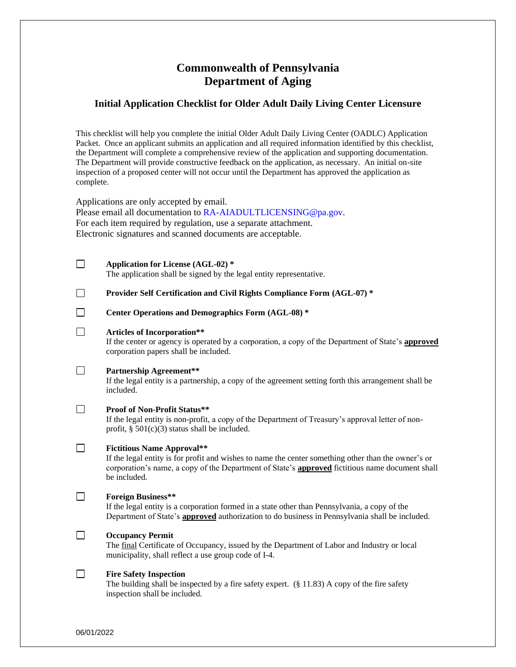# **Commonwealth of Pennsylvania Department of Aging**

# **Initial Application Checklist for Older Adult Daily Living Center Licensure**

This checklist will help you complete the initial Older Adult Daily Living Center (OADLC) Application Packet. Once an applicant submits an application and all required information identified by this checklist, the Department will complete a comprehensive review of the application and supporting documentation. The Department will provide constructive feedback on the application, as necessary. An initial on-site inspection of a proposed center will not occur until the Department has approved the application as complete.

Applications are only accepted by email.

Please email all documentation to [RA-AIADULTLICENSING@pa.gov.](mailto:RA-AIADULTLICENSING@pa.gov) For each item required by regulation, use a separate attachment. Electronic signatures and scanned documents are acceptable.

|        | <b>Application for License (AGL-02) *</b><br>The application shall be signed by the legal entity representative.                                                                                                                                                   |
|--------|--------------------------------------------------------------------------------------------------------------------------------------------------------------------------------------------------------------------------------------------------------------------|
| $\Box$ | Provider Self Certification and Civil Rights Compliance Form (AGL-07) *                                                                                                                                                                                            |
|        | Center Operations and Demographics Form (AGL-08) *                                                                                                                                                                                                                 |
| $\Box$ | <b>Articles of Incorporation**</b><br>If the center or agency is operated by a corporation, a copy of the Department of State's approved<br>corporation papers shall be included.                                                                                  |
|        | <b>Partnership Agreement**</b><br>If the legal entity is a partnership, a copy of the agreement setting forth this arrangement shall be<br>included.                                                                                                               |
|        | <b>Proof of Non-Profit Status**</b><br>If the legal entity is non-profit, a copy of the Department of Treasury's approval letter of non-<br>profit, $\S$ 501(c)(3) status shall be included.                                                                       |
|        | <b>Fictitious Name Approval**</b><br>If the legal entity is for profit and wishes to name the center something other than the owner's or<br>corporation's name, a copy of the Department of State's <b>approved</b> fictitious name document shall<br>be included. |
|        | <b>Foreign Business**</b><br>If the legal entity is a corporation formed in a state other than Pennsylvania, a copy of the<br>Department of State's <b>approved</b> authorization to do business in Pennsylvania shall be included.                                |
|        | <b>Occupancy Permit</b><br>The final Certificate of Occupancy, issued by the Department of Labor and Industry or local<br>municipality, shall reflect a use group code of I-4.                                                                                     |
|        | <b>Fire Safety Inspection</b><br>The building shall be inspected by a fire safety expert. $(\S 11.83)$ A copy of the fire safety<br>inspection shall be included.                                                                                                  |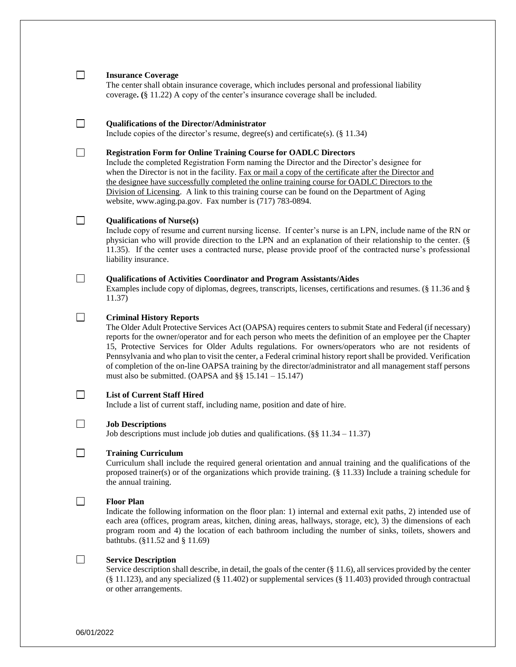# **Insurance Coverage**

 $\Box$ 

 $\Box$ 

 $\Box$ 

The center shall obtain insurance coverage, which includes personal and professional liability coverage**. (**§ 11.22) A copy of the center's insurance coverage shall be included.

#### $\Box$ **Qualifications of the Director/Administrator**

Include copies of the director's resume, degree(s) and certificate(s). (§ 11.34)

## **Registration Form for Online Training Course for OADLC Directors**

Include the completed Registration Form naming the Director and the Director's designee for when the Director is not in the facility. Fax or mail a copy of the certificate after the Director and the designee have successfully completed the online training course for OADLC Directors to the Division of Licensing. A link to this training course can be found on the Department of Aging website, www.aging.pa.gov. Fax number is (717) 783-0894.

### $\Box$ **Qualifications of Nurse(s)**

Include copy of resume and current nursing license. If center's nurse is an LPN, include name of the RN or physician who will provide direction to the LPN and an explanation of their relationship to the center. (§ 11.35). If the center uses a contracted nurse, please provide proof of the contracted nurse's professional liability insurance.

## **Qualifications of Activities Coordinator and Program Assistants/Aides**

Examples include copy of diplomas, degrees, transcripts, licenses, certifications and resumes. (§ 11.36 and § 11.37)

#### $\Box$ **Criminal History Reports**

The Older Adult Protective Services Act (OAPSA) requires centers to submit State and Federal (if necessary) reports for the owner/operator and for each person who meets the definition of an employee per the Chapter 15, Protective Services for Older Adults regulations. For owners/operators who are not residents of Pennsylvania and who plan to visit the center, a Federal criminal history report shall be provided. Verification of completion of the on-line OAPSA training by the director/administrator and all management staff persons must also be submitted. (OAPSA and  $\S$ § 15.141 – 15.147)

# $\Box$

 $\Box$ 

 $\Box$ 

### **List of Current Staff Hired**

Include a list of current staff, including name, position and date of hire.

### **Job Descriptions**

Job descriptions must include job duties and qualifications. ( $\S$ § 11.34 – 11.37)

#### $\Box$ **Training Curriculum**

Curriculum shall include the required general orientation and annual training and the qualifications of the proposed trainer(s) or of the organizations which provide training. (§ 11.33) Include a training schedule for the annual training.

### **Floor Plan**

Indicate the following information on the floor plan: 1) internal and external exit paths, 2) intended use of each area (offices, program areas, kitchen, dining areas, hallways, storage, etc), 3) the dimensions of each program room and 4) the location of each bathroom including the number of sinks, toilets, showers and bathtubs. (§11.52 and § 11.69)

### $\Box$ **Service Description**

Service description shall describe, in detail, the goals of the center (§ 11.6), all services provided by the center (§ 11.123), and any specialized (§ 11.402) or supplemental services (§ 11.403) provided through contractual or other arrangements.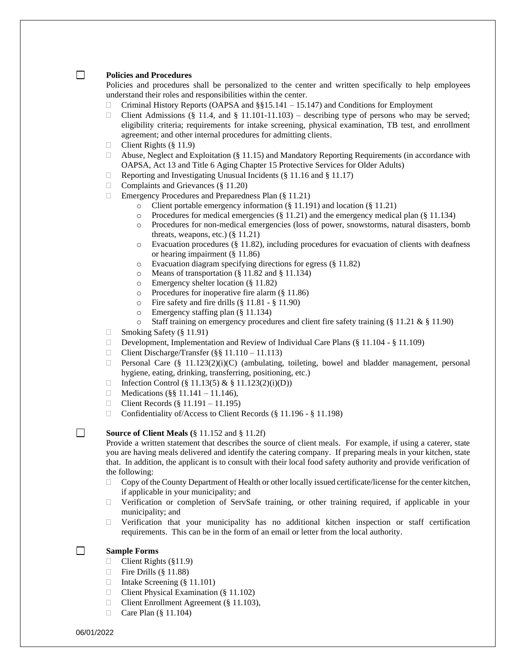### **Policies and Procedures**

 $\Box$ 

Policies and procedures shall be personalized to the center and written specifically to help employees understand their roles and responsibilities within the center.

- □ Criminal History Reports (OAPSA and §§15.141 15.147) and Conditions for Employment
- Client Admissions (§ 11.4, and § 11.101-11.103) describing type of persons who may be served; eligibility criteria; requirements for intake screening, physical examination, TB test, and enrollment agreement; and other internal procedures for admitting clients.
- $\Box$  Client Rights (§ 11.9)
- $\Box$  Abuse, Neglect and Exploitation (§ 11.15) and Mandatory Reporting Requirements (in accordance with OAPSA, Act 13 and Title 6 Aging Chapter 15 Protective Services for Older Adults)
- $\Box$  Reporting and Investigating Unusual Incidents (§ 11.16 and § 11.17)
- □ Complaints and Grievances (§ 11.20)
- $\Box$  Emergency Procedures and Preparedness Plan (§ 11.21)
	- o Client portable emergency information (§ 11.191) and location (§ 11.21)
	- $\circ$  Procedures for medical emergencies (§ 11.21) and the emergency medical plan (§ 11.134)
	- o Procedures for non-medical emergencies (loss of power, snowstorms, natural disasters, bomb threats, weapons, etc.)  $(\S 11.21)$
	- $\circ$  Evacuation procedures (§ 11.82), including procedures for evacuation of clients with deafness or hearing impairment (§ 11.86)
	- o Evacuation diagram specifying directions for egress (§ 11.82)
	- o Means of transportation (§ 11.82 and § 11.134)
	- o Emergency shelter location (§ 11.82)
	- o Procedures for inoperative fire alarm (§ 11.86)
	- o Fire safety and fire drills (§ 11.81 § 11.90)
	- o Emergency staffing plan (§ 11.134)
	- $\circ$  Staff training on emergency procedures and client fire safety training (§ 11.21 & § 11.90)
- □ Smoking Safety (§ 11.91)
- Development, Implementation and Review of Individual Care Plans (§ 11.104 § 11.109)
- $\Box$  Client Discharge/Transfer (§§ 11.110 11.113)
- **Personal Care (§ 11.123(2)(i)(C)** (ambulating, toileting, bowel and bladder management, personal hygiene, eating, drinking, transferring, positioning, etc.)
- □ Infection Control (§ 11.13(5) & § 11.123(2)(i)(D))
- □ Medications (§§ 11.141 11.146),
- **Client Records (§ 11.191 11.195)**
- □ Confidentiality of/Access to Client Records (§ 11.196 § 11.198)

### П. **Source of Client Meals (**§ 11.152 and § 11.2f)

Provide a written statement that describes the source of client meals. For example, if using a caterer, state you are having meals delivered and identify the catering company. If preparing meals in your kitchen, state that. In addition, the applicant is to consult with their local food safety authority and provide verification of the following:

- $\Box$  Copy of the County Department of Health or other locally issued certificate/license for the center kitchen, if applicable in your municipality; and
- $\Box$  Verification or completion of ServSafe training, or other training required, if applicable in your municipality; and
- $\Box$  Verification that your municipality has no additional kitchen inspection or staff certification requirements. This can be in the form of an email or letter from the local authority.

#### $\Box$ **Sample Forms**

- $\Box$  Client Rights (§11.9)
- $\Box$  Fire Drills (§ 11.88)
- □ Intake Screening (§ 11.101)
- $\Box$  Client Physical Examination (§ 11.102)
- □ Client Enrollment Agreement (§ 11.103),
- $\Box$  Care Plan (§ 11.104)